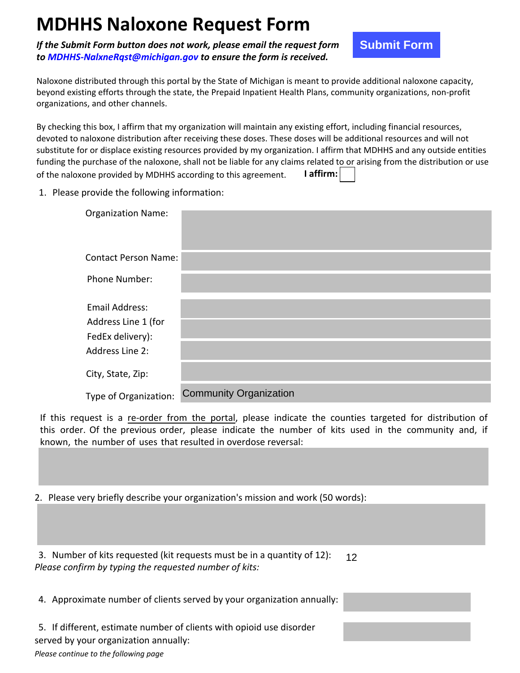## **MDHHS Naloxone Request Form**

*If the Submit Form button does not work, please email the request form to MDHHS-NalxneRqst@michigan.gov to ensure the form is received.* 

**Submit Form** 

Naloxone distributed through this portal by the State of Michigan is meant to provide additional naloxone capacity, beyond existing efforts through the state, the Prepaid Inpatient Health Plans, community organizations, non-profit organizations, and other channels.

By checking this box, I affirm that my organization will maintain any existing effort, including financial resources, devoted to naloxone distribution after receiving these doses. These doses will be additional resources and will not substitute for or displace existing resources provided by my organization. I affirm that MDHHS and any outside entities funding the purchase of the naloxone, shall not be liable for any claims related to or arising from the distribution or use of the naloxone provided by MDHHS according to this agreement. **I affirm:**

1. Please provide the following information:

|                                                                                                                                                                                                                                                                                                                                                                                                                                                                                                                            | nit Form button does not work, please email the request form<br>NalxneRast@michigan.gov to ensure the form is received. | <b>Submit Form</b> |
|----------------------------------------------------------------------------------------------------------------------------------------------------------------------------------------------------------------------------------------------------------------------------------------------------------------------------------------------------------------------------------------------------------------------------------------------------------------------------------------------------------------------------|-------------------------------------------------------------------------------------------------------------------------|--------------------|
| stributed through this portal by the State of Michigan is meant to provide additional naloxone capacity,<br>ting efforts through the state, the Prepaid Inpatient Health Plans, community organizations, non-profit<br>is, and other channels.                                                                                                                                                                                                                                                                             |                                                                                                                         |                    |
| this box, I affirm that my organization will maintain any existing effort, including financial resources,<br>naloxone distribution after receiving these doses. These doses will be additional resources and will not<br>or or displace existing resources provided by my organization. I affirm that MDHHS and any outside entities<br>purchase of the naloxone, shall not be liable for any claims related to or arising from the distribution or use<br>I affirm:<br>one provided by MDHHS according to this agreement. |                                                                                                                         |                    |
| provide the following information:                                                                                                                                                                                                                                                                                                                                                                                                                                                                                         |                                                                                                                         |                    |
| <b>Organization Name:</b>                                                                                                                                                                                                                                                                                                                                                                                                                                                                                                  |                                                                                                                         |                    |
| <b>Contact Person Name:</b>                                                                                                                                                                                                                                                                                                                                                                                                                                                                                                |                                                                                                                         |                    |
| Phone Number:                                                                                                                                                                                                                                                                                                                                                                                                                                                                                                              |                                                                                                                         |                    |
| <b>Email Address:</b><br>Address Line 1 (for<br>FedEx delivery):<br><b>Address Line 2:</b>                                                                                                                                                                                                                                                                                                                                                                                                                                 |                                                                                                                         |                    |
| City, State, Zip:                                                                                                                                                                                                                                                                                                                                                                                                                                                                                                          |                                                                                                                         |                    |
| Type of Organization:                                                                                                                                                                                                                                                                                                                                                                                                                                                                                                      | <b>Community Organization</b>                                                                                           |                    |
| quest is a re-order from the portal, please indicate the counties targeted for distribution of<br>. Of the previous order, please indicate the number of kits used in the community and, if<br>e number of uses that resulted in overdose reversal:                                                                                                                                                                                                                                                                        |                                                                                                                         |                    |
|                                                                                                                                                                                                                                                                                                                                                                                                                                                                                                                            |                                                                                                                         |                    |
| ery briefly describe your organization's mission and work (50 words):                                                                                                                                                                                                                                                                                                                                                                                                                                                      |                                                                                                                         |                    |
|                                                                                                                                                                                                                                                                                                                                                                                                                                                                                                                            |                                                                                                                         |                    |
| r of kits requested (kit requests must be in a quantity of 12):<br>12                                                                                                                                                                                                                                                                                                                                                                                                                                                      |                                                                                                                         |                    |

If this request is a re-order from the portal, please indicate the counties targeted for distribution of this order. Of the previous order, please indicate the number of kits used in the community and, if known, the number of uses that resulted in overdose reversal:

2. Please very briefly describe your organization's mission and work (50 words):

3. Number of kits requested (kit requests must be in a quantity of 12):  $12$ *Please confirm by typing the requested number of kits:*

4. Approximate number of clients served by your organization annually:

5. If different, estimate number of clients with opioid use disorder served by your organization annually:

*Please continue to the following page*